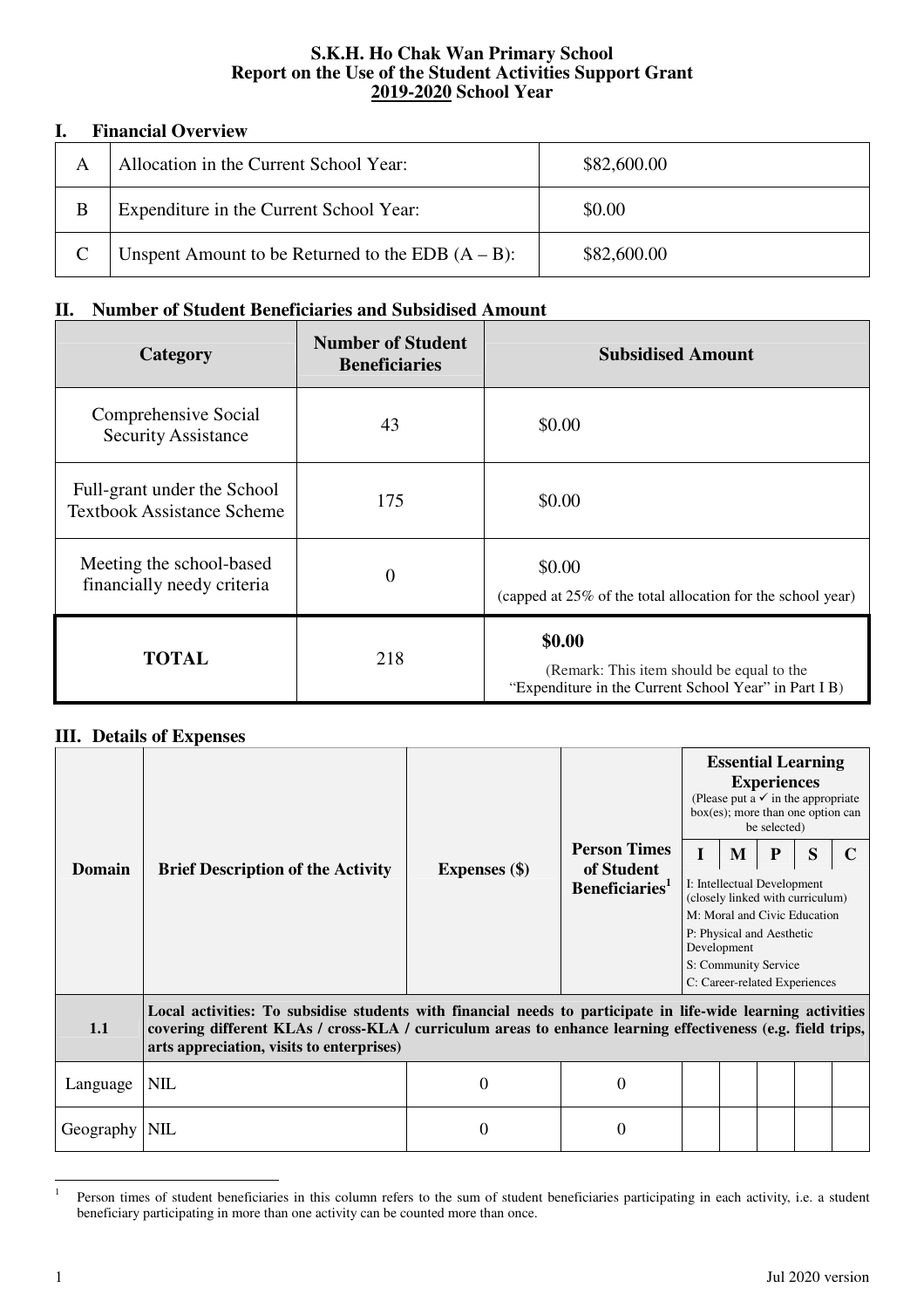## **S.K.H. Ho Chak Wan Primary School Report on the Use of the Student Activities Support Grant 2019-2020 School Year**

## **I. Financial Overview**

| А | Allocation in the Current School Year:               | \$82,600.00 |
|---|------------------------------------------------------|-------------|
| В | Expenditure in the Current School Year:              | \$0.00      |
|   | Unspent Amount to be Returned to the EDB $(A - B)$ : | \$82,600.00 |

## **II. Number of Student Beneficiaries and Subsidised Amount**

| Category                                                         | <b>Number of Student</b><br><b>Beneficiaries</b> | <b>Subsidised Amount</b>                                                                                     |
|------------------------------------------------------------------|--------------------------------------------------|--------------------------------------------------------------------------------------------------------------|
| Comprehensive Social<br><b>Security Assistance</b>               | 43                                               | \$0.00                                                                                                       |
| Full-grant under the School<br><b>Textbook Assistance Scheme</b> | 175                                              | \$0.00                                                                                                       |
| Meeting the school-based<br>financially needy criteria           | $\theta$                                         | \$0.00<br>(capped at 25% of the total allocation for the school year)                                        |
| <b>TOTAL</b>                                                     | 218                                              | \$0.00<br>(Remark: This item should be equal to the<br>"Expenditure in the Current School Year" in Part I B) |

## **III. Details of Expenses**

|                                                                                                                                                                                                                                                                                 | <b>Brief Description of the Activity</b> | <b>Expenses</b> (\$) | <b>Person Times</b><br>of Student<br>Beneficiaries <sup>1</sup> | <b>Essential Learning</b><br><b>Experiences</b><br>(Please put a $\checkmark$ in the appropriate<br>$box(es)$ ; more than one option can<br>be selected) |   |   |   |  |  |  |
|---------------------------------------------------------------------------------------------------------------------------------------------------------------------------------------------------------------------------------------------------------------------------------|------------------------------------------|----------------------|-----------------------------------------------------------------|----------------------------------------------------------------------------------------------------------------------------------------------------------|---|---|---|--|--|--|
|                                                                                                                                                                                                                                                                                 |                                          |                      |                                                                 | T                                                                                                                                                        | M | P | S |  |  |  |
| <b>Domain</b>                                                                                                                                                                                                                                                                   |                                          |                      |                                                                 | I: Intellectual Development<br>(closely linked with curriculum)                                                                                          |   |   |   |  |  |  |
|                                                                                                                                                                                                                                                                                 |                                          |                      |                                                                 | M: Moral and Civic Education<br>P: Physical and Aesthetic                                                                                                |   |   |   |  |  |  |
|                                                                                                                                                                                                                                                                                 |                                          |                      |                                                                 | Development<br>S: Community Service                                                                                                                      |   |   |   |  |  |  |
|                                                                                                                                                                                                                                                                                 |                                          |                      |                                                                 | C: Career-related Experiences                                                                                                                            |   |   |   |  |  |  |
| Local activities: To subsidise students with financial needs to participate in life-wide learning activities<br>covering different KLAs / cross-KLA / curriculum areas to enhance learning effectiveness (e.g. field trips,<br>1.1<br>arts appreciation, visits to enterprises) |                                          |                      |                                                                 |                                                                                                                                                          |   |   |   |  |  |  |
| Language                                                                                                                                                                                                                                                                        | <b>NIL</b>                               | $\Omega$             | 0                                                               |                                                                                                                                                          |   |   |   |  |  |  |
| Geography                                                                                                                                                                                                                                                                       | <b>NIL</b>                               | $\Omega$             | 0                                                               |                                                                                                                                                          |   |   |   |  |  |  |

 $\frac{1}{1}$  Person times of student beneficiaries in this column refers to the sum of student beneficiaries participating in each activity, i.e. a student beneficiary participating in more than one activity can be counted more than once.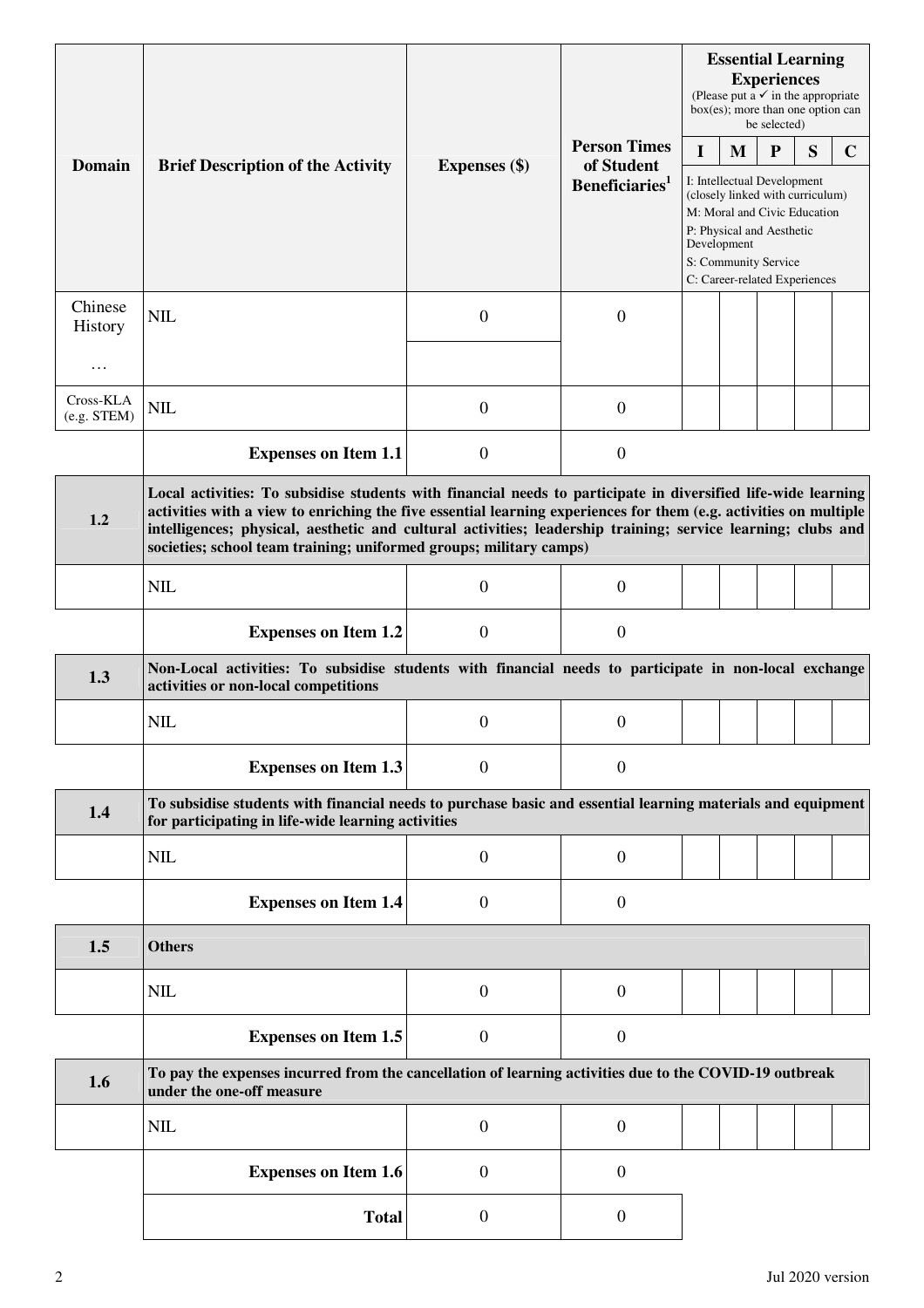|                            |                                                                                                                                                                                                                                                                                                                                                                                                                          |                      |                                          | <b>Essential Learning</b><br><b>Experiences</b><br>(Please put a $\checkmark$ in the appropriate<br>$box(es)$ ; more than one option can<br>be selected)                                             |   |   |   |             |  |  |
|----------------------------|--------------------------------------------------------------------------------------------------------------------------------------------------------------------------------------------------------------------------------------------------------------------------------------------------------------------------------------------------------------------------------------------------------------------------|----------------------|------------------------------------------|------------------------------------------------------------------------------------------------------------------------------------------------------------------------------------------------------|---|---|---|-------------|--|--|
| <b>Domain</b>              |                                                                                                                                                                                                                                                                                                                                                                                                                          |                      | <b>Person Times</b>                      | $\bf{I}$                                                                                                                                                                                             | M | P | S | $\mathbf C$ |  |  |
|                            | <b>Brief Description of the Activity</b>                                                                                                                                                                                                                                                                                                                                                                                 | <b>Expenses</b> (\$) | of Student<br>Beneficiaries <sup>1</sup> | I: Intellectual Development<br>(closely linked with curriculum)<br>M: Moral and Civic Education<br>P: Physical and Aesthetic<br>Development<br>S: Community Service<br>C: Career-related Experiences |   |   |   |             |  |  |
| Chinese<br>History         | <b>NIL</b>                                                                                                                                                                                                                                                                                                                                                                                                               | $\boldsymbol{0}$     | $\overline{0}$                           |                                                                                                                                                                                                      |   |   |   |             |  |  |
| $\cdots$                   |                                                                                                                                                                                                                                                                                                                                                                                                                          |                      |                                          |                                                                                                                                                                                                      |   |   |   |             |  |  |
| Cross-KLA<br>$(e.g. STEM)$ | <b>NIL</b>                                                                                                                                                                                                                                                                                                                                                                                                               | $\boldsymbol{0}$     | $\overline{0}$                           |                                                                                                                                                                                                      |   |   |   |             |  |  |
|                            | <b>Expenses on Item 1.1</b>                                                                                                                                                                                                                                                                                                                                                                                              | $\boldsymbol{0}$     | $\boldsymbol{0}$                         |                                                                                                                                                                                                      |   |   |   |             |  |  |
| 1.2                        | Local activities: To subsidise students with financial needs to participate in diversified life-wide learning<br>activities with a view to enriching the five essential learning experiences for them (e.g. activities on multiple<br>intelligences; physical, aesthetic and cultural activities; leadership training; service learning; clubs and<br>societies; school team training; uniformed groups; military camps) |                      |                                          |                                                                                                                                                                                                      |   |   |   |             |  |  |
|                            | <b>NIL</b>                                                                                                                                                                                                                                                                                                                                                                                                               | $\boldsymbol{0}$     | $\overline{0}$                           |                                                                                                                                                                                                      |   |   |   |             |  |  |
|                            | <b>Expenses on Item 1.2</b>                                                                                                                                                                                                                                                                                                                                                                                              | $\overline{0}$       | $\mathbf{0}$                             |                                                                                                                                                                                                      |   |   |   |             |  |  |
| 1.3                        | Non-Local activities: To subsidise students with financial needs to participate in non-local exchange<br>activities or non-local competitions                                                                                                                                                                                                                                                                            |                      |                                          |                                                                                                                                                                                                      |   |   |   |             |  |  |
|                            | <b>NIL</b>                                                                                                                                                                                                                                                                                                                                                                                                               | 0                    | $\theta$                                 |                                                                                                                                                                                                      |   |   |   |             |  |  |
|                            | <b>Expenses on Item 1.3</b>                                                                                                                                                                                                                                                                                                                                                                                              | $\overline{0}$       | $\mathbf{0}$                             |                                                                                                                                                                                                      |   |   |   |             |  |  |
| 1.4                        | To subsidise students with financial needs to purchase basic and essential learning materials and equipment<br>for participating in life-wide learning activities                                                                                                                                                                                                                                                        |                      |                                          |                                                                                                                                                                                                      |   |   |   |             |  |  |
|                            | NIL                                                                                                                                                                                                                                                                                                                                                                                                                      | $\boldsymbol{0}$     | $\overline{0}$                           |                                                                                                                                                                                                      |   |   |   |             |  |  |
|                            | <b>Expenses on Item 1.4</b>                                                                                                                                                                                                                                                                                                                                                                                              | $\mathbf{0}$         | $\overline{0}$                           |                                                                                                                                                                                                      |   |   |   |             |  |  |
| 1.5                        | <b>Others</b>                                                                                                                                                                                                                                                                                                                                                                                                            |                      |                                          |                                                                                                                                                                                                      |   |   |   |             |  |  |
|                            | <b>NIL</b>                                                                                                                                                                                                                                                                                                                                                                                                               | $\boldsymbol{0}$     | $\overline{0}$                           |                                                                                                                                                                                                      |   |   |   |             |  |  |
|                            | <b>Expenses on Item 1.5</b>                                                                                                                                                                                                                                                                                                                                                                                              | $\boldsymbol{0}$     | $\boldsymbol{0}$                         |                                                                                                                                                                                                      |   |   |   |             |  |  |
| 1.6                        | To pay the expenses incurred from the cancellation of learning activities due to the COVID-19 outbreak<br>under the one-off measure                                                                                                                                                                                                                                                                                      |                      |                                          |                                                                                                                                                                                                      |   |   |   |             |  |  |
|                            | <b>NIL</b>                                                                                                                                                                                                                                                                                                                                                                                                               | $\boldsymbol{0}$     | $\overline{0}$                           |                                                                                                                                                                                                      |   |   |   |             |  |  |
|                            | <b>Expenses on Item 1.6</b>                                                                                                                                                                                                                                                                                                                                                                                              | $\mathbf{0}$         | $\boldsymbol{0}$                         |                                                                                                                                                                                                      |   |   |   |             |  |  |
|                            | <b>Total</b>                                                                                                                                                                                                                                                                                                                                                                                                             | $\boldsymbol{0}$     | $\overline{0}$                           |                                                                                                                                                                                                      |   |   |   |             |  |  |